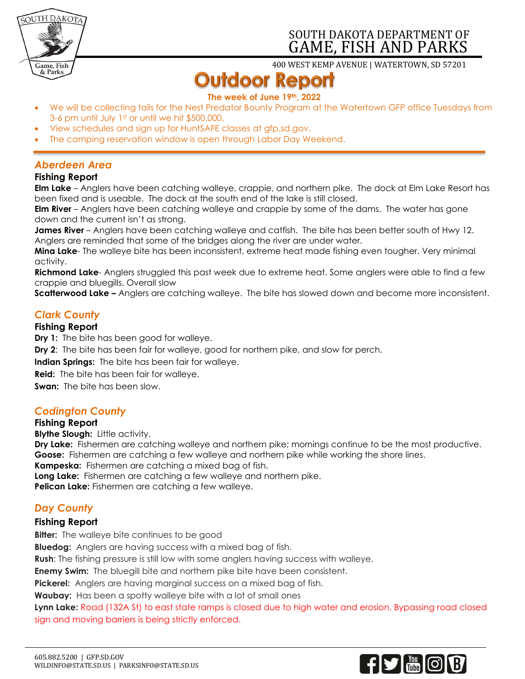

# SOUTH DAKOTA DEPARTMENT OF GAME, FISH AND PARKS

400 WEST KEMP AVENUE | WATERTOWN, SD 57201

# **Outdoor Report**

### **The week of June 19th, 2022**

- We will be collecting tails for the Nest Predator Bounty Program at the Watertown GFP office Tuesdays from 3-6 pm until July 1st or until we hit \$500,000.
- View schedules and sign up for HuntSAFE classes at gfp.sd.gov.
- The camping reservation window is open through Labor Day Weekend.

# *Aberdeen Area*

#### **Fishing Report**

**Elm Lake** – Anglers have been catching walleye, crappie, and northern pike. The dock at Elm Lake Resort has been fixed and is useable. The dock at the south end of the lake is still closed.

**Elm River** – Anglers have been catching walleye and crappie by some of the dams. The water has gone down and the current isn't as strong.

**James River** – Anglers have been catching walleye and catfish. The bite has been better south of Hwy 12. Anglers are reminded that some of the bridges along the river are under water.

**Mina Lake**- The walleye bite has been inconsistent, extreme heat made fishing even tougher. Very minimal activity.

**Richmond Lake**- Anglers struggled this past week due to extreme heat. Some anglers were able to find a few crappie and bluegills. Overall slow

**Scatterwood Lake –** Anglers are catching walleye. The bite has slowed down and become more inconsistent.

# *Clark County*

#### **Fishing Report**

**Dry 1:** The bite has been good for walleye.

**Dry 2**: The bite has been fair for walleye, good for northern pike, and slow for perch.

**Indian Springs:** The bite has been fair for walleye.

**Reid:** The bite has been fair for walleye.

**Swan:** The bite has been slow.

#### *Codington County*

#### **Fishing Report**

**Blythe Slough:** Little activity.

**Dry Lake:** Fishermen are catching walleye and northern pike; mornings continue to be the most productive. **Goose:** Fishermen are catching a few walleye and northern pike while working the shore lines.

**Kampeska:** Fishermen are catching a mixed bag of fish.

**Long Lake:** Fishermen are catching a few walleye and northern pike.

**Pelican Lake:** Fishermen are catching a few walleye.

# *Day County*

#### **Fishing Report**

**Bitter:** The walleye bite continues to be good

**Bluedog:** Anglers are having success with a mixed bag of fish.

**Rush**: The fishing pressure is still low with some anglers having success with walleye.

**Enemy Swim:** The bluegill bite and northern pike bite have been consistent.

**Pickerel:** Anglers are having marginal success on a mixed bag of fish.

**Waubay:** Has been a spotty walleye bite with a lot of small ones

**Lynn Lake:** Road (132A St) to east state ramps is closed due to high water and erosion. Bypassing road closed sign and moving barriers is being strictly enforced.